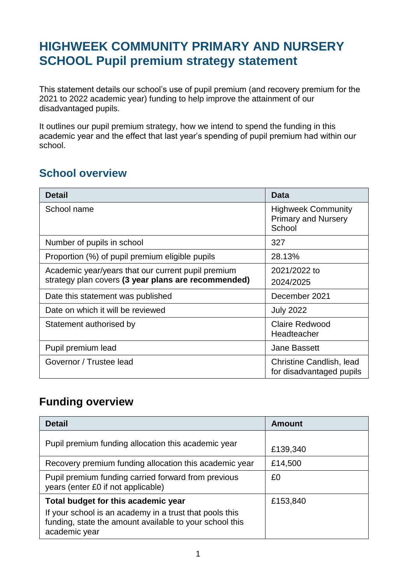## **HIGHWEEK COMMUNITY PRIMARY AND NURSERY SCHOOL Pupil premium strategy statement**

This statement details our school's use of pupil premium (and recovery premium for the 2021 to 2022 academic year) funding to help improve the attainment of our disadvantaged pupils.

It outlines our pupil premium strategy, how we intend to spend the funding in this academic year and the effect that last year's spending of pupil premium had within our school.

#### **School overview**

| <b>Detail</b>                                                                                             | Data                                                              |
|-----------------------------------------------------------------------------------------------------------|-------------------------------------------------------------------|
| School name                                                                                               | <b>Highweek Community</b><br><b>Primary and Nursery</b><br>School |
| Number of pupils in school                                                                                | 327                                                               |
| Proportion (%) of pupil premium eligible pupils                                                           | 28.13%                                                            |
| Academic year/years that our current pupil premium<br>strategy plan covers (3 year plans are recommended) | 2021/2022 to<br>2024/2025                                         |
| Date this statement was published                                                                         | December 2021                                                     |
| Date on which it will be reviewed                                                                         | <b>July 2022</b>                                                  |
| Statement authorised by                                                                                   | <b>Claire Redwood</b><br>Headteacher                              |
| Pupil premium lead                                                                                        | <b>Jane Bassett</b>                                               |
| Governor / Trustee lead                                                                                   | Christine Candlish, lead<br>for disadvantaged pupils              |

#### **Funding overview**

| <b>Detail</b>                                                                                                                                                              | Amount   |
|----------------------------------------------------------------------------------------------------------------------------------------------------------------------------|----------|
| Pupil premium funding allocation this academic year                                                                                                                        | £139,340 |
| Recovery premium funding allocation this academic year                                                                                                                     | £14,500  |
| Pupil premium funding carried forward from previous<br>years (enter £0 if not applicable)                                                                                  | £0       |
| Total budget for this academic year<br>If your school is an academy in a trust that pools this<br>funding, state the amount available to your school this<br>academic year | £153,840 |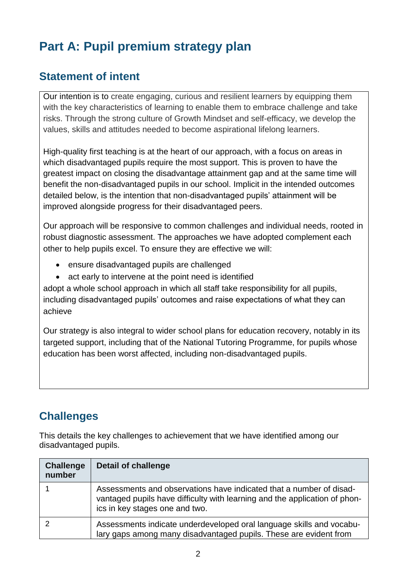# **Part A: Pupil premium strategy plan**

#### **Statement of intent**

Our intention is to create engaging, curious and resilient learners by equipping them with the key characteristics of learning to enable them to embrace challenge and take risks. Through the strong culture of Growth Mindset and self-efficacy, we develop the values, skills and attitudes needed to become aspirational lifelong learners.

High-quality first teaching is at the heart of our approach, with a focus on areas in which disadvantaged pupils require the most support. This is proven to have the greatest impact on closing the disadvantage attainment gap and at the same time will benefit the non-disadvantaged pupils in our school. Implicit in the intended outcomes detailed below, is the intention that non-disadvantaged pupils' attainment will be improved alongside progress for their disadvantaged peers.

Our approach will be responsive to common challenges and individual needs, rooted in robust diagnostic assessment. The approaches we have adopted complement each other to help pupils excel. To ensure they are effective we will:

- ensure disadvantaged pupils are challenged
- act early to intervene at the point need is identified

adopt a whole school approach in which all staff take responsibility for all pupils, including disadvantaged pupils' outcomes and raise expectations of what they can achieve

Our strategy is also integral to wider school plans for education recovery, notably in its targeted support, including that of the National Tutoring Programme, for pupils whose education has been worst affected, including non-disadvantaged pupils.

#### **Challenges**

This details the key challenges to achievement that we have identified among our disadvantaged pupils.

| <b>Challenge</b><br>number | <b>Detail of challenge</b>                                                                                                                                                          |
|----------------------------|-------------------------------------------------------------------------------------------------------------------------------------------------------------------------------------|
|                            | Assessments and observations have indicated that a number of disad-<br>vantaged pupils have difficulty with learning and the application of phon-<br>ics in key stages one and two. |
|                            | Assessments indicate underdeveloped oral language skills and vocabu-<br>lary gaps among many disadvantaged pupils. These are evident from                                           |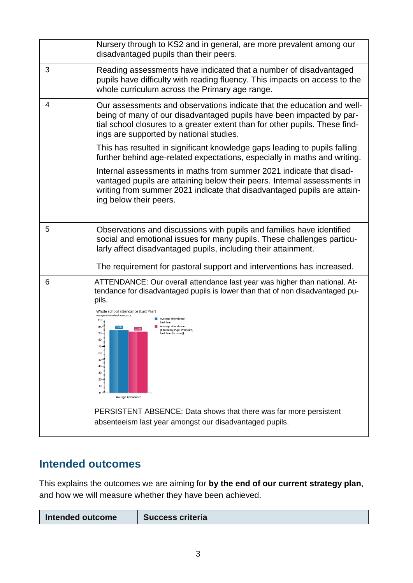|   | Nursery through to KS2 and in general, are more prevalent among our<br>disadvantaged pupils than their peers.                                                                                                                                                                                                                                                                                                                                                                                                         |
|---|-----------------------------------------------------------------------------------------------------------------------------------------------------------------------------------------------------------------------------------------------------------------------------------------------------------------------------------------------------------------------------------------------------------------------------------------------------------------------------------------------------------------------|
| 3 | Reading assessments have indicated that a number of disadvantaged<br>pupils have difficulty with reading fluency. This impacts on access to the<br>whole curriculum across the Primary age range.                                                                                                                                                                                                                                                                                                                     |
| 4 | Our assessments and observations indicate that the education and well-<br>being of many of our disadvantaged pupils have been impacted by par-<br>tial school closures to a greater extent than for other pupils. These find-<br>ings are supported by national studies.                                                                                                                                                                                                                                              |
|   | This has resulted in significant knowledge gaps leading to pupils falling<br>further behind age-related expectations, especially in maths and writing.                                                                                                                                                                                                                                                                                                                                                                |
|   | Internal assessments in maths from summer 2021 indicate that disad-<br>vantaged pupils are attaining below their peers. Internal assessments in<br>writing from summer 2021 indicate that disadvantaged pupils are attain-<br>ing below their peers.                                                                                                                                                                                                                                                                  |
| 5 | Observations and discussions with pupils and families have identified<br>social and emotional issues for many pupils. These challenges particu-<br>larly affect disadvantaged pupils, including their attainment.                                                                                                                                                                                                                                                                                                     |
|   | The requirement for pastoral support and interventions has increased.                                                                                                                                                                                                                                                                                                                                                                                                                                                 |
| 6 | ATTENDANCE: Our overall attendance last year was higher than national. At-<br>tendance for disadvantaged pupils is lower than that of non disadvantaged pu-<br>pils.<br>Whole school attendance [Last Year]<br>Average whole school attendance<br>Average attendance,<br>$110 -$<br>Last Year<br>$100 -$<br>Average attendance<br>92.63<br>filtered by Pupil Premium,<br>Last Year (Pastoral)]<br>$90 -$<br>$80 -$<br>$70 -$<br>60<br>$50 -$<br>$40 -$<br>$30 -$<br>20<br>$10 -$<br>$\mathbf 0$<br>Average Attendance |
|   | PERSISTENT ABSENCE: Data shows that there was far more persistent<br>absenteeism last year amongst our disadvantaged pupils.                                                                                                                                                                                                                                                                                                                                                                                          |

### **Intended outcomes**

This explains the outcomes we are aiming for **by the end of our current strategy plan**, and how we will measure whether they have been achieved.

| Intended outcome | <b>Success criteria</b> |
|------------------|-------------------------|
|                  |                         |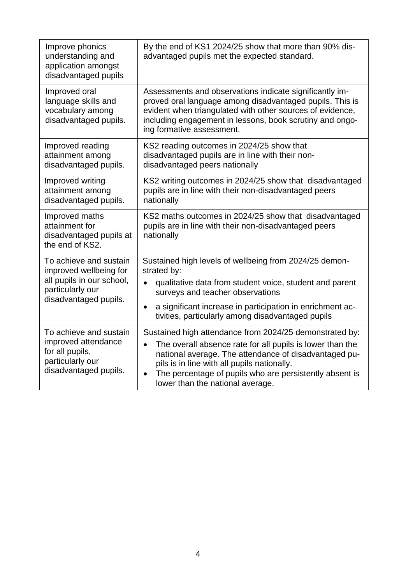| Improve phonics<br>understanding and<br>application amongst<br>disadvantaged pupils                                        | By the end of KS1 2024/25 show that more than 90% dis-<br>advantaged pupils met the expected standard.                                                                                                                                                                                                                                                |
|----------------------------------------------------------------------------------------------------------------------------|-------------------------------------------------------------------------------------------------------------------------------------------------------------------------------------------------------------------------------------------------------------------------------------------------------------------------------------------------------|
| Improved oral<br>language skills and<br>vocabulary among<br>disadvantaged pupils.                                          | Assessments and observations indicate significantly im-<br>proved oral language among disadvantaged pupils. This is<br>evident when triangulated with other sources of evidence,<br>including engagement in lessons, book scrutiny and ongo-<br>ing formative assessment.                                                                             |
| Improved reading<br>attainment among<br>disadvantaged pupils.                                                              | KS2 reading outcomes in 2024/25 show that<br>disadvantaged pupils are in line with their non-<br>disadvantaged peers nationally                                                                                                                                                                                                                       |
| Improved writing<br>attainment among<br>disadvantaged pupils.                                                              | KS2 writing outcomes in 2024/25 show that disadvantaged<br>pupils are in line with their non-disadvantaged peers<br>nationally                                                                                                                                                                                                                        |
| Improved maths<br>attainment for<br>disadvantaged pupils at<br>the end of KS2.                                             | KS2 maths outcomes in 2024/25 show that disadvantaged<br>pupils are in line with their non-disadvantaged peers<br>nationally                                                                                                                                                                                                                          |
| To achieve and sustain<br>improved wellbeing for<br>all pupils in our school,<br>particularly our<br>disadvantaged pupils. | Sustained high levels of wellbeing from 2024/25 demon-<br>strated by:<br>qualitative data from student voice, student and parent<br>surveys and teacher observations<br>a significant increase in participation in enrichment ac-<br>$\bullet$<br>tivities, particularly among disadvantaged pupils                                                   |
| To achieve and sustain<br>improved attendance<br>for all pupils,<br>particularly our<br>disadvantaged pupils.              | Sustained high attendance from 2024/25 demonstrated by:<br>The overall absence rate for all pupils is lower than the<br>$\bullet$<br>national average. The attendance of disadvantaged pu-<br>pils is in line with all pupils nationally.<br>The percentage of pupils who are persistently absent is<br>$\bullet$<br>lower than the national average. |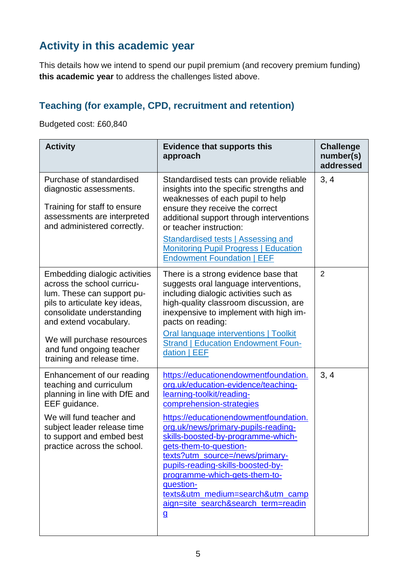### **Activity in this academic year**

This details how we intend to spend our pupil premium (and recovery premium funding) **this academic year** to address the challenges listed above.

#### **Teaching (for example, CPD, recruitment and retention)**

Budgeted cost: £60,840

| <b>Activity</b>                                                                                                                                                                                                                                                           | <b>Evidence that supports this</b><br>approach                                                                                                                                                                                                                                                                                                                                                                                                                                                         | <b>Challenge</b><br>number(s)<br>addressed |
|---------------------------------------------------------------------------------------------------------------------------------------------------------------------------------------------------------------------------------------------------------------------------|--------------------------------------------------------------------------------------------------------------------------------------------------------------------------------------------------------------------------------------------------------------------------------------------------------------------------------------------------------------------------------------------------------------------------------------------------------------------------------------------------------|--------------------------------------------|
| Purchase of standardised<br>diagnostic assessments.<br>Training for staff to ensure<br>assessments are interpreted<br>and administered correctly.                                                                                                                         | Standardised tests can provide reliable<br>insights into the specific strengths and<br>weaknesses of each pupil to help<br>ensure they receive the correct<br>additional support through interventions<br>or teacher instruction:<br>Standardised tests   Assessing and<br><b>Monitoring Pupil Progress   Education</b><br><b>Endowment Foundation   EEF</b>                                                                                                                                           | 3, 4                                       |
| Embedding dialogic activities<br>across the school curricu-<br>lum. These can support pu-<br>pils to articulate key ideas,<br>consolidate understanding<br>and extend vocabulary.<br>We will purchase resources<br>and fund ongoing teacher<br>training and release time. | There is a strong evidence base that<br>suggests oral language interventions,<br>including dialogic activities such as<br>high-quality classroom discussion, are<br>inexpensive to implement with high im-<br>pacts on reading:<br>Oral language interventions   Toolkit<br><b>Strand   Education Endowment Foun-</b><br>dation   EEF                                                                                                                                                                  | $\overline{2}$                             |
| Enhancement of our reading<br>teaching and curriculum<br>planning in line with DfE and<br>EEF guidance.<br>We will fund teacher and<br>subject leader release time<br>to support and embed best<br>practice across the school.                                            | https://educationendowmentfoundation.<br>org.uk/education-evidence/teaching-<br>learning-toolkit/reading-<br>comprehension-strategies<br>https://educationendowmentfoundation.<br>org.uk/news/primary-pupils-reading-<br>skills-boosted-by-programme-which-<br>gets-them-to-question-<br>texts?utm_source=/news/primary-<br>pupils-reading-skills-boosted-by-<br>programme-which-gets-them-to-<br>question-<br>texts&utm_medium=search&utm_camp<br>aign=site_search&search_term=readin<br>$\mathbf{g}$ | 3, 4                                       |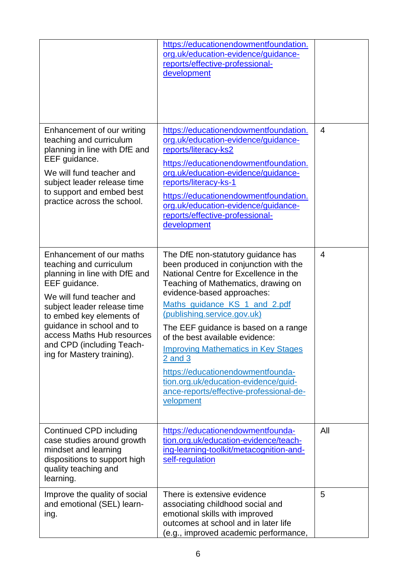|                                                                                                                                                                                                                                                                                                                    | https://educationendowmentfoundation.<br>org.uk/education-evidence/guidance-<br>reports/effective-professional-<br>development                                                                                                                                                                                                                                                                                                                                                                                                         |                |
|--------------------------------------------------------------------------------------------------------------------------------------------------------------------------------------------------------------------------------------------------------------------------------------------------------------------|----------------------------------------------------------------------------------------------------------------------------------------------------------------------------------------------------------------------------------------------------------------------------------------------------------------------------------------------------------------------------------------------------------------------------------------------------------------------------------------------------------------------------------------|----------------|
| Enhancement of our writing<br>teaching and curriculum<br>planning in line with DfE and<br>EEF guidance.<br>We will fund teacher and<br>subject leader release time<br>to support and embed best<br>practice across the school.                                                                                     | https://educationendowmentfoundation.<br>org.uk/education-evidence/guidance-<br>reports/literacy-ks2<br>https://educationendowmentfoundation.<br>org.uk/education-evidence/guidance-<br>reports/literacy-ks-1<br>https://educationendowmentfoundation.<br>org.uk/education-evidence/guidance-<br>reports/effective-professional-<br>development                                                                                                                                                                                        | $\overline{4}$ |
| Enhancement of our maths<br>teaching and curriculum<br>planning in line with DfE and<br>EEF guidance.<br>We will fund teacher and<br>subject leader release time<br>to embed key elements of<br>guidance in school and to<br>access Maths Hub resources<br>and CPD (including Teach-<br>ing for Mastery training). | The DfE non-statutory guidance has<br>been produced in conjunction with the<br>National Centre for Excellence in the<br>Teaching of Mathematics, drawing on<br>evidence-based approaches:<br>Maths guidance KS 1 and 2.pdf<br>(publishing.service.gov.uk)<br>The EEF guidance is based on a range<br>of the best available evidence:<br><b>Improving Mathematics in Key Stages</b><br>$2$ and $3$<br>https://educationendowmentfounda-<br>tion.org.uk/education-evidence/guid-<br>ance-reports/effective-professional-de-<br>velopment | 4              |
| Continued CPD including<br>case studies around growth<br>mindset and learning<br>dispositions to support high<br>quality teaching and<br>learning.                                                                                                                                                                 | https://educationendowmentfounda-<br>tion.org.uk/education-evidence/teach-<br>ing-learning-toolkit/metacognition-and-<br>self-regulation                                                                                                                                                                                                                                                                                                                                                                                               | All            |
| Improve the quality of social<br>and emotional (SEL) learn-<br>ing.                                                                                                                                                                                                                                                | There is extensive evidence<br>associating childhood social and<br>emotional skills with improved<br>outcomes at school and in later life<br>(e.g., improved academic performance,                                                                                                                                                                                                                                                                                                                                                     | 5              |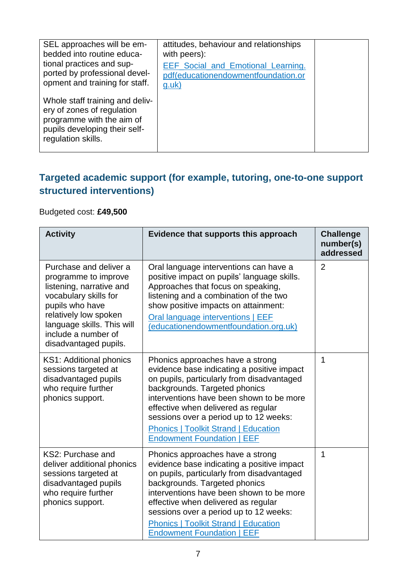| SEL approaches will be em-<br>bedded into routine educa-<br>tional practices and sup-<br>ported by professional devel-<br>opment and training for staff. | attitudes, behaviour and relationships<br>with peers):<br>EEF Social and Emotional Learning.<br>pdf(educationendowmentfoundation.or<br><u>g.uk)</u> |  |
|----------------------------------------------------------------------------------------------------------------------------------------------------------|-----------------------------------------------------------------------------------------------------------------------------------------------------|--|
| Whole staff training and deliv-<br>ery of zones of regulation<br>programme with the aim of<br>pupils developing their self-<br>regulation skills.        |                                                                                                                                                     |  |

#### **Targeted academic support (for example, tutoring, one-to-one support structured interventions)**

#### Budgeted cost: **£49,500**

| <b>Activity</b>                                                                                                                                                                                                               | Evidence that supports this approach                                                                                                                                                                                                                                                                                                                                           | <b>Challenge</b><br>number(s)<br>addressed |
|-------------------------------------------------------------------------------------------------------------------------------------------------------------------------------------------------------------------------------|--------------------------------------------------------------------------------------------------------------------------------------------------------------------------------------------------------------------------------------------------------------------------------------------------------------------------------------------------------------------------------|--------------------------------------------|
| Purchase and deliver a<br>programme to improve<br>listening, narrative and<br>vocabulary skills for<br>pupils who have<br>relatively low spoken<br>language skills. This will<br>include a number of<br>disadvantaged pupils. | Oral language interventions can have a<br>positive impact on pupils' language skills.<br>Approaches that focus on speaking,<br>listening and a combination of the two<br>show positive impacts on attainment:<br>Oral language interventions   EEF<br>(educationendowmentfoundation.org.uk)                                                                                    | $\overline{2}$                             |
| KS1: Additional phonics<br>sessions targeted at<br>disadvantaged pupils<br>who require further<br>phonics support.                                                                                                            | Phonics approaches have a strong<br>evidence base indicating a positive impact<br>on pupils, particularly from disadvantaged<br>backgrounds. Targeted phonics<br>interventions have been shown to be more<br>effective when delivered as regular<br>sessions over a period up to 12 weeks:<br><b>Phonics   Toolkit Strand   Education</b><br><b>Endowment Foundation   EEF</b> | 1                                          |
| KS2: Purchase and<br>deliver additional phonics<br>sessions targeted at<br>disadvantaged pupils<br>who require further<br>phonics support.                                                                                    | Phonics approaches have a strong<br>evidence base indicating a positive impact<br>on pupils, particularly from disadvantaged<br>backgrounds. Targeted phonics<br>interventions have been shown to be more<br>effective when delivered as regular<br>sessions over a period up to 12 weeks:<br><b>Phonics   Toolkit Strand   Education</b><br><b>Endowment Foundation   EEF</b> | 1                                          |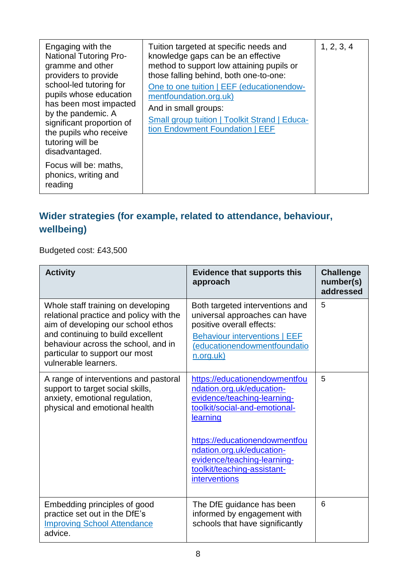| Engaging with the<br><b>National Tutoring Pro-</b><br>gramme and other<br>providers to provide<br>school-led tutoring for<br>pupils whose education<br>has been most impacted<br>by the pandemic. A<br>significant proportion of<br>the pupils who receive<br>tutoring will be<br>disadvantaged. | Tuition targeted at specific needs and<br>knowledge gaps can be an effective<br>method to support low attaining pupils or<br>those falling behind, both one-to-one:<br>One to one tuition   EEF (educationendow-<br>mentfoundation.org.uk)<br>And in small groups:<br><b>Small group tuition   Toolkit Strand   Educa-</b><br>tion Endowment Foundation   EEF | 1, 2, 3, 4 |
|--------------------------------------------------------------------------------------------------------------------------------------------------------------------------------------------------------------------------------------------------------------------------------------------------|---------------------------------------------------------------------------------------------------------------------------------------------------------------------------------------------------------------------------------------------------------------------------------------------------------------------------------------------------------------|------------|
| Focus will be: maths,<br>phonics, writing and<br>reading                                                                                                                                                                                                                                         |                                                                                                                                                                                                                                                                                                                                                               |            |

### **Wider strategies (for example, related to attendance, behaviour, wellbeing)**

Budgeted cost: £43,500

| <b>Activity</b>                                                                                                                                                                                                                                           | <b>Evidence that supports this</b><br>approach                                                                                                                                                                                                                                             | <b>Challenge</b><br>number(s)<br>addressed |
|-----------------------------------------------------------------------------------------------------------------------------------------------------------------------------------------------------------------------------------------------------------|--------------------------------------------------------------------------------------------------------------------------------------------------------------------------------------------------------------------------------------------------------------------------------------------|--------------------------------------------|
| Whole staff training on developing<br>relational practice and policy with the<br>aim of developing our school ethos<br>and continuing to build excellent<br>behaviour across the school, and in<br>particular to support our most<br>vulnerable learners. | Both targeted interventions and<br>universal approaches can have<br>positive overall effects:<br><b>Behaviour interventions   EEF</b><br>(educationendowmentfoundatio<br>n.org.uk)                                                                                                         | 5                                          |
| A range of interventions and pastoral<br>support to target social skills,<br>anxiety, emotional regulation,<br>physical and emotional health                                                                                                              | https://educationendowmentfou<br>ndation.org.uk/education-<br>evidence/teaching-learning-<br>toolkit/social-and-emotional-<br>learning<br>https://educationendowmentfou<br>ndation.org.uk/education-<br>evidence/teaching-learning-<br>toolkit/teaching-assistant-<br><b>interventions</b> | 5                                          |
| Embedding principles of good<br>practice set out in the DfE's<br><b>Improving School Attendance</b><br>advice.                                                                                                                                            | The DfE guidance has been<br>informed by engagement with<br>schools that have significantly                                                                                                                                                                                                | 6                                          |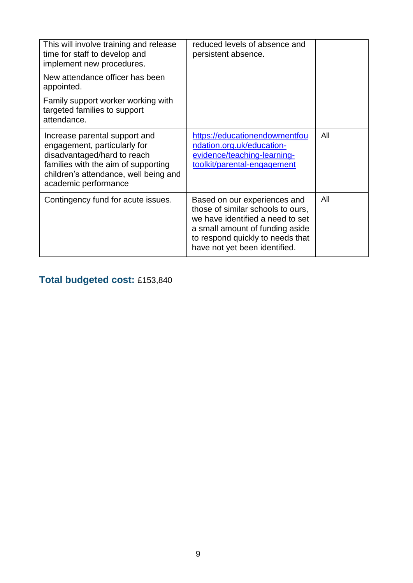| This will involve training and release<br>time for staff to develop and<br>implement new procedures.<br>New attendance officer has been<br>appointed.                                                | reduced levels of absence and<br>persistent absence.                                                                                                                                                          |     |
|------------------------------------------------------------------------------------------------------------------------------------------------------------------------------------------------------|---------------------------------------------------------------------------------------------------------------------------------------------------------------------------------------------------------------|-----|
| Family support worker working with<br>targeted families to support<br>attendance.                                                                                                                    |                                                                                                                                                                                                               |     |
| Increase parental support and<br>engagement, particularly for<br>disadvantaged/hard to reach<br>families with the aim of supporting<br>children's attendance, well being and<br>academic performance | https://educationendowmentfou<br>ndation.org.uk/education-<br>evidence/teaching-learning-<br>toolkit/parental-engagement                                                                                      | All |
| Contingency fund for acute issues.                                                                                                                                                                   | Based on our experiences and<br>those of similar schools to ours,<br>we have identified a need to set<br>a small amount of funding aside<br>to respond quickly to needs that<br>have not yet been identified. | All |

# **Total budgeted cost:** £153,840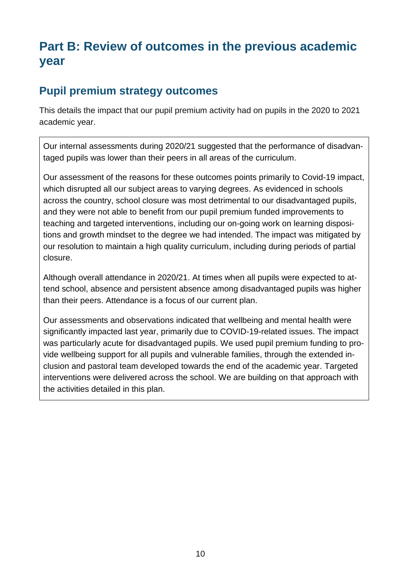# **Part B: Review of outcomes in the previous academic year**

#### **Pupil premium strategy outcomes**

This details the impact that our pupil premium activity had on pupils in the 2020 to 2021 academic year.

Our internal assessments during 2020/21 suggested that the performance of disadvantaged pupils was lower than their peers in all areas of the curriculum.

Our assessment of the reasons for these outcomes points primarily to Covid-19 impact, which disrupted all our subject areas to varying degrees. As evidenced in schools across the country, school closure was most detrimental to our disadvantaged pupils, and they were not able to benefit from our pupil premium funded improvements to teaching and targeted interventions, including our on-going work on learning dispositions and growth mindset to the degree we had intended. The impact was mitigated by our resolution to maintain a high quality curriculum, including during periods of partial closure.

Although overall attendance in 2020/21. At times when all pupils were expected to attend school, absence and persistent absence among disadvantaged pupils was higher than their peers. Attendance is a focus of our current plan.

Our assessments and observations indicated that wellbeing and mental health were significantly impacted last year, primarily due to COVID-19-related issues. The impact was particularly acute for disadvantaged pupils. We used pupil premium funding to provide wellbeing support for all pupils and vulnerable families, through the extended inclusion and pastoral team developed towards the end of the academic year. Targeted interventions were delivered across the school. We are building on that approach with the activities detailed in this plan.